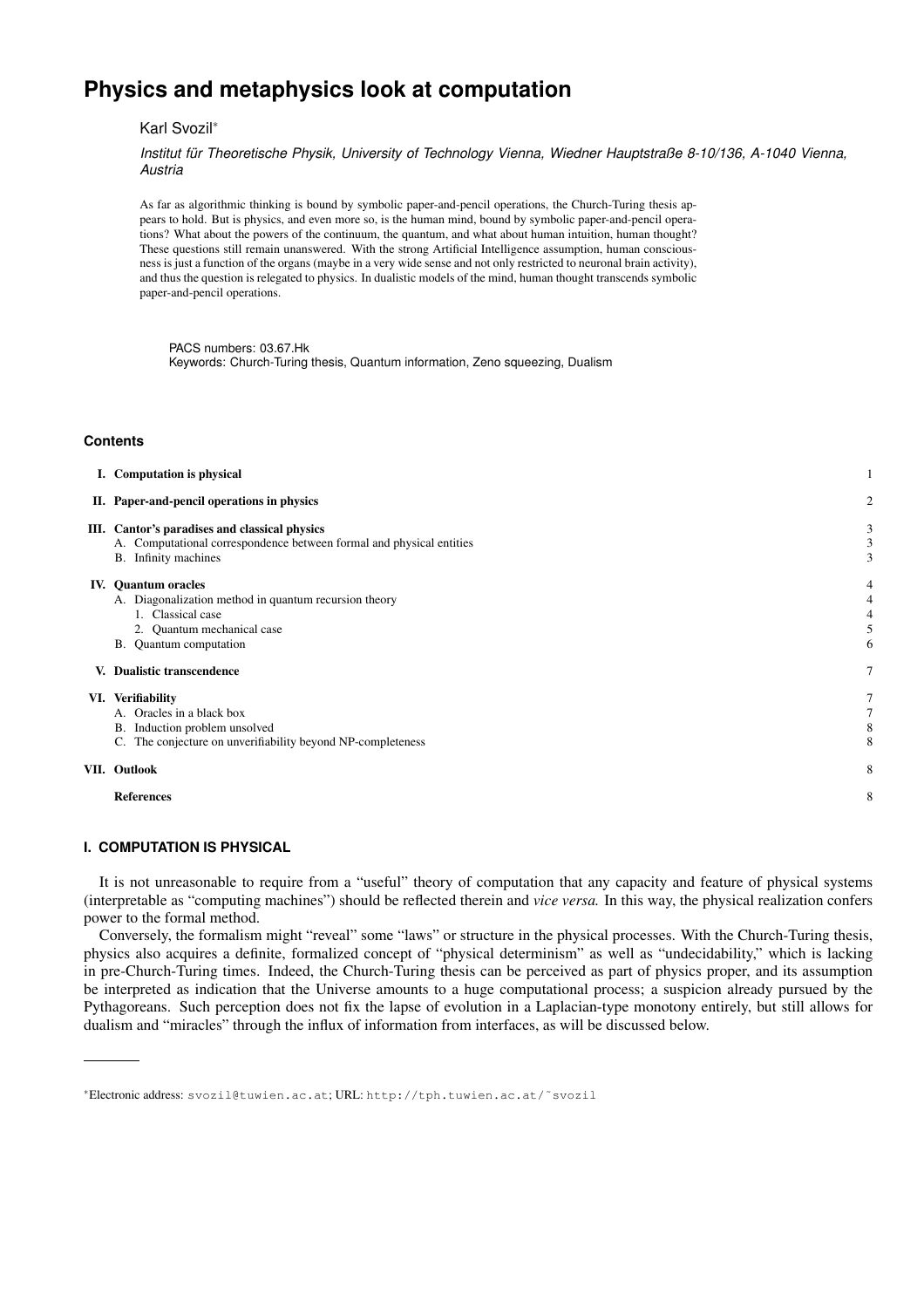# **Physics and metaphysics look at computation**

Karl Svozil<sup>∗</sup>

*Institut fur Theoretische Physik, University of Technology Vienna, Wiedner Hauptstraße 8-10/136, A-1040 Vienna, ¨ Austria*

As far as algorithmic thinking is bound by symbolic paper-and-pencil operations, the Church-Turing thesis appears to hold. But is physics, and even more so, is the human mind, bound by symbolic paper-and-pencil operations? What about the powers of the continuum, the quantum, and what about human intuition, human thought? These questions still remain unanswered. With the strong Artificial Intelligence assumption, human consciousness is just a function of the organs (maybe in a very wide sense and not only restricted to neuronal brain activity), and thus the question is relegated to physics. In dualistic models of the mind, human thought transcends symbolic paper-and-pencil operations.

PACS numbers: 03.67.Hk Keywords: Church-Turing thesis, Quantum information, Zeno squeezing, Dualism

#### **Contents**

|     | I. Computation is physical                                                                                                                                   |                |
|-----|--------------------------------------------------------------------------------------------------------------------------------------------------------------|----------------|
|     | II. Paper-and-pencil operations in physics                                                                                                                   | $\overline{2}$ |
|     | III. Cantor's paradises and classical physics<br>A. Computational correspondence between formal and physical entities<br>B. Infinity machines                | 3<br>3<br>3    |
| IV. | <b>Quantum oracles</b><br>A. Diagonalization method in quantum recursion theory<br>1. Classical case<br>2. Quantum mechanical case<br>B. Quantum computation | 4<br>4<br>6    |
| V.  | <b>Dualistic transcendence</b>                                                                                                                               | 7              |
|     | VI. Verifiability<br>A. Oracles in a black box<br>B. Induction problem unsolved<br>C. The conjecture on unverifiability beyond NP-completeness               | 7<br>8<br>8    |
|     | VII. Outlook                                                                                                                                                 | 8              |
|     | <b>References</b>                                                                                                                                            | 8              |

# **I. COMPUTATION IS PHYSICAL**

It is not unreasonable to require from a "useful" theory of computation that any capacity and feature of physical systems (interpretable as "computing machines") should be reflected therein and *vice versa.* In this way, the physical realization confers power to the formal method.

Conversely, the formalism might "reveal" some "laws" or structure in the physical processes. With the Church-Turing thesis, physics also acquires a definite, formalized concept of "physical determinism" as well as "undecidability," which is lacking in pre-Church-Turing times. Indeed, the Church-Turing thesis can be perceived as part of physics proper, and its assumption be interpreted as indication that the Universe amounts to a huge computational process; a suspicion already pursued by the Pythagoreans. Such perception does not fix the lapse of evolution in a Laplacian-type monotony entirely, but still allows for dualism and "miracles" through the influx of information from interfaces, as will be discussed below.

<sup>∗</sup>Electronic address: svozil@tuwien.ac.at; URL: http://tph.tuwien.ac.at/˜svozil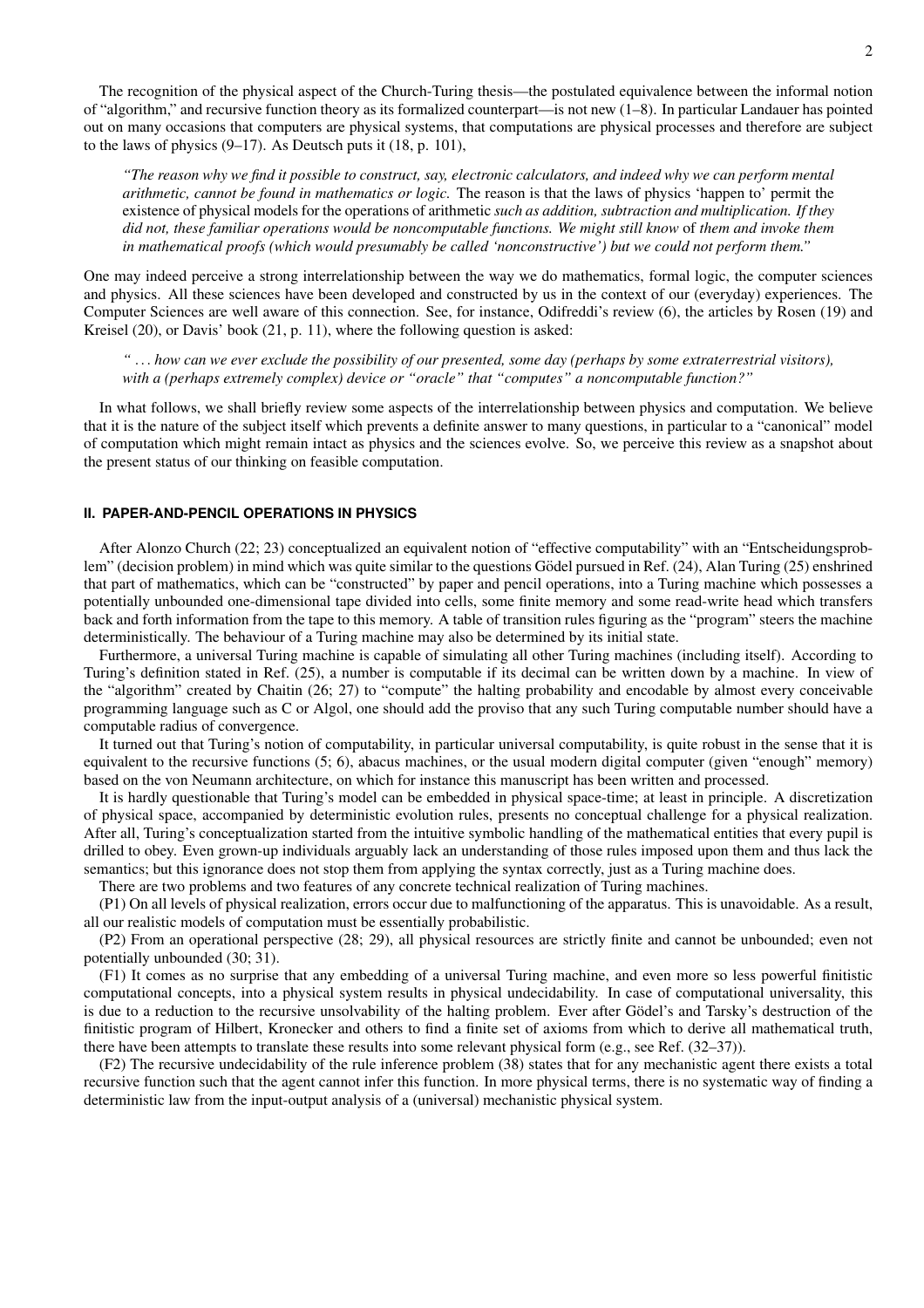The recognition of the physical aspect of the Church-Turing thesis—the postulated equivalence between the informal notion of "algorithm," and recursive function theory as its formalized counterpart—is not new (1–8). In particular Landauer has pointed out on many occasions that computers are physical systems, that computations are physical processes and therefore are subject to the laws of physics (9–17). As Deutsch puts it (18, p. 101),

*"The reason why we find it possible to construct, say, electronic calculators, and indeed why we can perform mental arithmetic, cannot be found in mathematics or logic.* The reason is that the laws of physics 'happen to' permit the existence of physical models for the operations of arithmetic *such as addition, subtraction and multiplication. If they did not, these familiar operations would be noncomputable functions. We might still know* of *them and invoke them in mathematical proofs (which would presumably be called 'nonconstructive') but we could not perform them."*

One may indeed perceive a strong interrelationship between the way we do mathematics, formal logic, the computer sciences and physics. All these sciences have been developed and constructed by us in the context of our (everyday) experiences. The Computer Sciences are well aware of this connection. See, for instance, Odifreddi's review (6), the articles by Rosen (19) and Kreisel (20), or Davis' book (21, p. 11), where the following question is asked:

*"* ... *how can we ever exclude the possibility of our presented, some day (perhaps by some extraterrestrial visitors), with a (perhaps extremely complex) device or "oracle" that "computes" a noncomputable function?"*

In what follows, we shall briefly review some aspects of the interrelationship between physics and computation. We believe that it is the nature of the subject itself which prevents a definite answer to many questions, in particular to a "canonical" model of computation which might remain intact as physics and the sciences evolve. So, we perceive this review as a snapshot about the present status of our thinking on feasible computation.

#### **II. PAPER-AND-PENCIL OPERATIONS IN PHYSICS**

After Alonzo Church (22; 23) conceptualized an equivalent notion of "effective computability" with an "Entscheidungsproblem" (decision problem) in mind which was quite similar to the questions Gödel pursued in Ref. (24), Alan Turing (25) enshrined that part of mathematics, which can be "constructed" by paper and pencil operations, into a Turing machine which possesses a potentially unbounded one-dimensional tape divided into cells, some finite memory and some read-write head which transfers back and forth information from the tape to this memory. A table of transition rules figuring as the "program" steers the machine deterministically. The behaviour of a Turing machine may also be determined by its initial state.

Furthermore, a universal Turing machine is capable of simulating all other Turing machines (including itself). According to Turing's definition stated in Ref. (25), a number is computable if its decimal can be written down by a machine. In view of the "algorithm" created by Chaitin (26; 27) to "compute" the halting probability and encodable by almost every conceivable programming language such as C or Algol, one should add the proviso that any such Turing computable number should have a computable radius of convergence.

It turned out that Turing's notion of computability, in particular universal computability, is quite robust in the sense that it is equivalent to the recursive functions (5; 6), abacus machines, or the usual modern digital computer (given "enough" memory) based on the von Neumann architecture, on which for instance this manuscript has been written and processed.

It is hardly questionable that Turing's model can be embedded in physical space-time; at least in principle. A discretization of physical space, accompanied by deterministic evolution rules, presents no conceptual challenge for a physical realization. After all, Turing's conceptualization started from the intuitive symbolic handling of the mathematical entities that every pupil is drilled to obey. Even grown-up individuals arguably lack an understanding of those rules imposed upon them and thus lack the semantics; but this ignorance does not stop them from applying the syntax correctly, just as a Turing machine does.

There are two problems and two features of any concrete technical realization of Turing machines.

(P1) On all levels of physical realization, errors occur due to malfunctioning of the apparatus. This is unavoidable. As a result, all our realistic models of computation must be essentially probabilistic.

(P2) From an operational perspective (28; 29), all physical resources are strictly finite and cannot be unbounded; even not potentially unbounded (30; 31).

(F1) It comes as no surprise that any embedding of a universal Turing machine, and even more so less powerful finitistic computational concepts, into a physical system results in physical undecidability. In case of computational universality, this is due to a reduction to the recursive unsolvability of the halting problem. Ever after Gödel's and Tarsky's destruction of the finitistic program of Hilbert, Kronecker and others to find a finite set of axioms from which to derive all mathematical truth, there have been attempts to translate these results into some relevant physical form (e.g., see Ref. (32–37)).

(F2) The recursive undecidability of the rule inference problem (38) states that for any mechanistic agent there exists a total recursive function such that the agent cannot infer this function. In more physical terms, there is no systematic way of finding a deterministic law from the input-output analysis of a (universal) mechanistic physical system.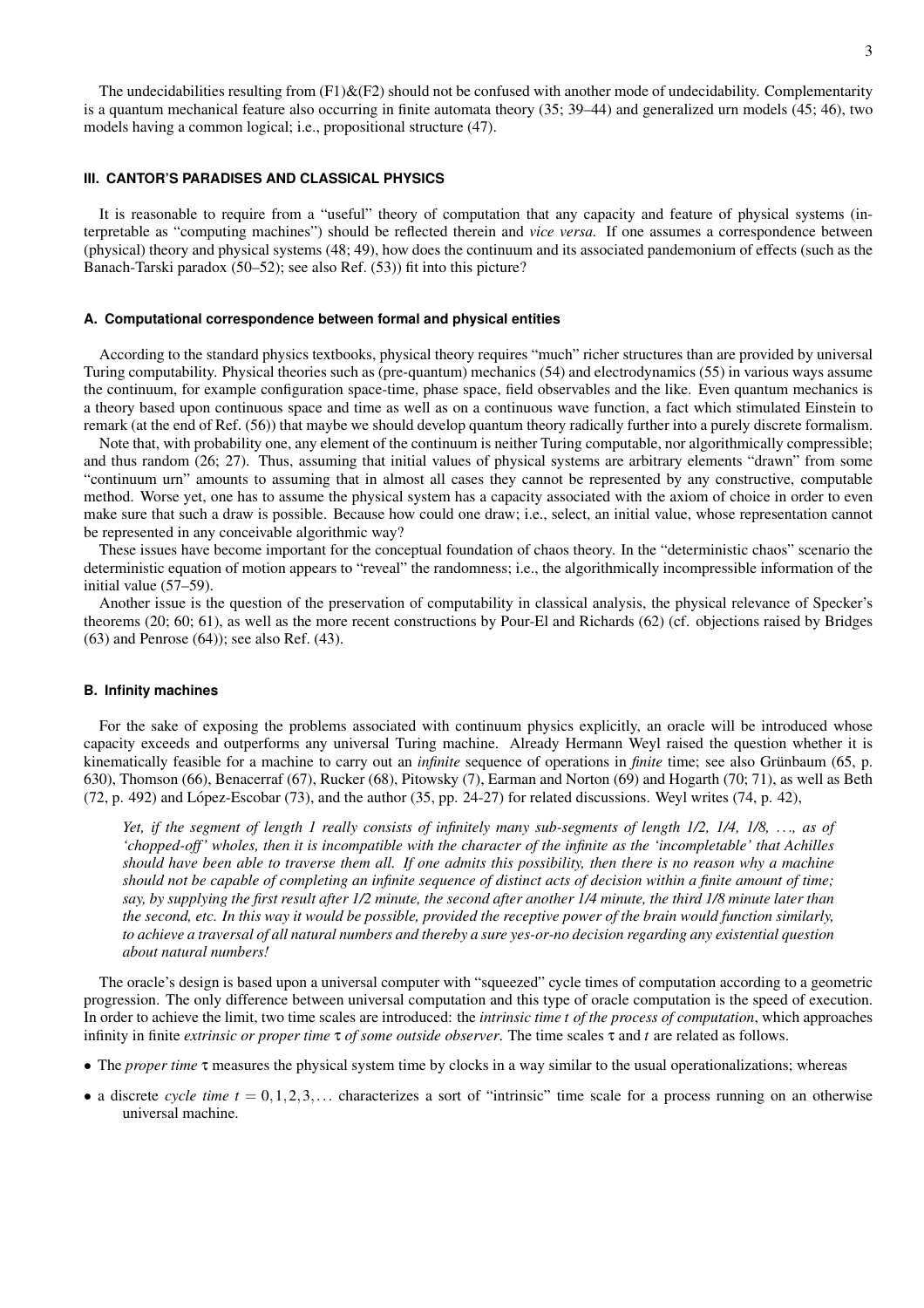### **III. CANTOR'S PARADISES AND CLASSICAL PHYSICS**

It is reasonable to require from a "useful" theory of computation that any capacity and feature of physical systems (interpretable as "computing machines") should be reflected therein and *vice versa.* If one assumes a correspondence between (physical) theory and physical systems (48; 49), how does the continuum and its associated pandemonium of effects (such as the Banach-Tarski paradox (50–52); see also Ref. (53)) fit into this picture?

#### **A. Computational correspondence between formal and physical entities**

According to the standard physics textbooks, physical theory requires "much" richer structures than are provided by universal Turing computability. Physical theories such as (pre-quantum) mechanics (54) and electrodynamics (55) in various ways assume the continuum, for example configuration space-time, phase space, field observables and the like. Even quantum mechanics is a theory based upon continuous space and time as well as on a continuous wave function, a fact which stimulated Einstein to remark (at the end of Ref. (56)) that maybe we should develop quantum theory radically further into a purely discrete formalism.

Note that, with probability one, any element of the continuum is neither Turing computable, nor algorithmically compressible; and thus random (26; 27). Thus, assuming that initial values of physical systems are arbitrary elements "drawn" from some "continuum urn" amounts to assuming that in almost all cases they cannot be represented by any constructive, computable method. Worse yet, one has to assume the physical system has a capacity associated with the axiom of choice in order to even make sure that such a draw is possible. Because how could one draw; i.e., select, an initial value, whose representation cannot be represented in any conceivable algorithmic way?

These issues have become important for the conceptual foundation of chaos theory. In the "deterministic chaos" scenario the deterministic equation of motion appears to "reveal" the randomness; i.e., the algorithmically incompressible information of the initial value (57–59).

Another issue is the question of the preservation of computability in classical analysis, the physical relevance of Specker's theorems (20; 60; 61), as well as the more recent constructions by Pour-El and Richards (62) (cf. objections raised by Bridges (63) and Penrose (64)); see also Ref. (43).

# **B. Infinity machines**

For the sake of exposing the problems associated with continuum physics explicitly, an oracle will be introduced whose capacity exceeds and outperforms any universal Turing machine. Already Hermann Weyl raised the question whether it is kinematically feasible for a machine to carry out an *infinite* sequence of operations in *finite* time; see also Grünbaum (65, p. 630), Thomson (66), Benacerraf (67), Rucker (68), Pitowsky (7), Earman and Norton (69) and Hogarth (70; 71), as well as Beth  $(72, p. 492)$  and López-Escobar  $(73)$ , and the author  $(35, pp. 24-27)$  for related discussions. Weyl writes  $(74, p. 42)$ ,

*Yet, if the segment of length 1 really consists of infinitely many sub-segments of length 1/2, 1/4, 1/8,* ...*, as of 'chopped-off' wholes, then it is incompatible with the character of the infinite as the 'incompletable' that Achilles should have been able to traverse them all. If one admits this possibility, then there is no reason why a machine should not be capable of completing an infinite sequence of distinct acts of decision within a finite amount of time; say, by supplying the first result after 1/2 minute, the second after another 1/4 minute, the third 1/8 minute later than the second, etc. In this way it would be possible, provided the receptive power of the brain would function similarly, to achieve a traversal of all natural numbers and thereby a sure yes-or-no decision regarding any existential question about natural numbers!*

The oracle's design is based upon a universal computer with "squeezed" cycle times of computation according to a geometric progression. The only difference between universal computation and this type of oracle computation is the speed of execution. In order to achieve the limit, two time scales are introduced: the *intrinsic time t of the process of computation*, which approaches infinity in finite *extrinsic or proper time* τ *of some outside observer*. The time scales τ and *t* are related as follows.

- The *proper time* τ measures the physical system time by clocks in a way similar to the usual operationalizations; whereas
- a discrete *cycle time*  $t = 0, 1, 2, 3, \ldots$  characterizes a sort of "intrinsic" time scale for a process running on an otherwise universal machine.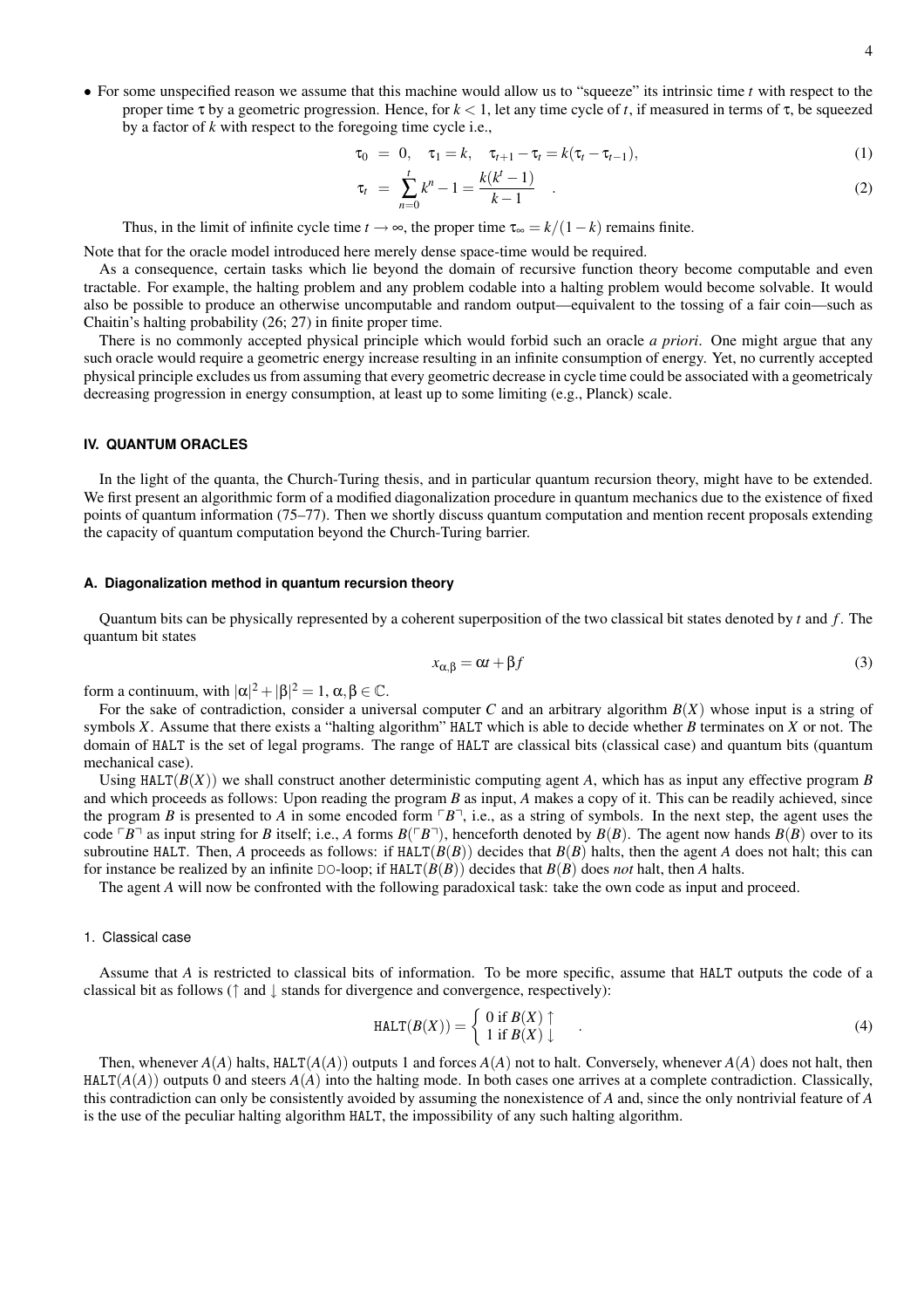• For some unspecified reason we assume that this machine would allow us to "squeeze" its intrinsic time *t* with respect to the proper time  $\tau$  by a geometric progression. Hence, for  $k < 1$ , let any time cycle of *t*, if measured in terms of  $\tau$ , be squeezed by a factor of *k* with respect to the foregoing time cycle i.e.,

$$
\tau_0 = 0, \quad \tau_1 = k, \quad \tau_{t+1} - \tau_t = k(\tau_t - \tau_{t-1}), \tag{1}
$$

$$
\tau_t = \sum_{n=0}^t k^n - 1 = \frac{k(k^t - 1)}{k - 1} \quad . \tag{2}
$$

Thus, in the limit of infinite cycle time  $t \to \infty$ , the proper time  $\tau_{\infty} = k/(1-k)$  remains finite.

Note that for the oracle model introduced here merely dense space-time would be required.

As a consequence, certain tasks which lie beyond the domain of recursive function theory become computable and even tractable. For example, the halting problem and any problem codable into a halting problem would become solvable. It would also be possible to produce an otherwise uncomputable and random output—equivalent to the tossing of a fair coin—such as Chaitin's halting probability (26; 27) in finite proper time.

There is no commonly accepted physical principle which would forbid such an oracle *a priori*. One might argue that any such oracle would require a geometric energy increase resulting in an infinite consumption of energy. Yet, no currently accepted physical principle excludes us from assuming that every geometric decrease in cycle time could be associated with a geometricaly decreasing progression in energy consumption, at least up to some limiting (e.g., Planck) scale.

#### **IV. QUANTUM ORACLES**

In the light of the quanta, the Church-Turing thesis, and in particular quantum recursion theory, might have to be extended. We first present an algorithmic form of a modified diagonalization procedure in quantum mechanics due to the existence of fixed points of quantum information (75–77). Then we shortly discuss quantum computation and mention recent proposals extending the capacity of quantum computation beyond the Church-Turing barrier.

#### **A. Diagonalization method in quantum recursion theory**

Quantum bits can be physically represented by a coherent superposition of the two classical bit states denoted by *t* and *f* . The quantum bit states

$$
x_{\alpha,\beta} = \alpha t + \beta f \tag{3}
$$

form a continuum, with  $|\alpha|^2 + |\beta|^2 = 1$ ,  $\alpha, \beta \in \mathbb{C}$ .

For the sake of contradiction, consider a universal computer *C* and an arbitrary algorithm *B*(*X*) whose input is a string of symbols *X*. Assume that there exists a "halting algorithm" HALT which is able to decide whether *B* terminates on *X* or not. The domain of HALT is the set of legal programs. The range of HALT are classical bits (classical case) and quantum bits (quantum mechanical case).

Using HALT( $B(X)$ ) we shall construct another deterministic computing agent A, which has as input any effective program *B* and which proceeds as follows: Upon reading the program *B* as input, *A* makes a copy of it. This can be readily achieved, since the program *B* is presented to *A* in some encoded form  $\lceil B \rceil$ , i.e., as a string of symbols. In the next step, the agent uses the code  $\ulcorner B\urcorner$  as input string for *B* itself; i.e., *A* forms  $B(\ulcorner B\urcorner)$ , henceforth denoted by  $B(B)$ . The agent now hands  $B(B)$  over to its subroutine HALT. Then, *A* proceeds as follows: if  $HALT(B(B))$  decides that  $B(B)$  halts, then the agent *A* does not halt; this can for instance be realized by an infinite DO-loop; if  $HALT(B(B))$  decides that  $B(B)$  does *not* halt, then *A* halts.

The agent *A* will now be confronted with the following paradoxical task: take the own code as input and proceed.

#### 1. Classical case

Assume that *A* is restricted to classical bits of information. To be more specific, assume that HALT outputs the code of a classical bit as follows (↑ and ↓ stands for divergence and convergence, respectively):

$$
HALT(B(X)) = \begin{cases} 0 \text{ if } B(X) \\ 1 \text{ if } B(X) \end{cases} \tag{4}
$$

Then, whenever  $A(A)$  halts, HALT $(A(A))$  outputs 1 and forces  $A(A)$  not to halt. Conversely, whenever  $A(A)$  does not halt, then  $HALT(A(A))$  outputs 0 and steers  $A(A)$  into the halting mode. In both cases one arrives at a complete contradiction. Classically, this contradiction can only be consistently avoided by assuming the nonexistence of *A* and, since the only nontrivial feature of *A* is the use of the peculiar halting algorithm HALT, the impossibility of any such halting algorithm.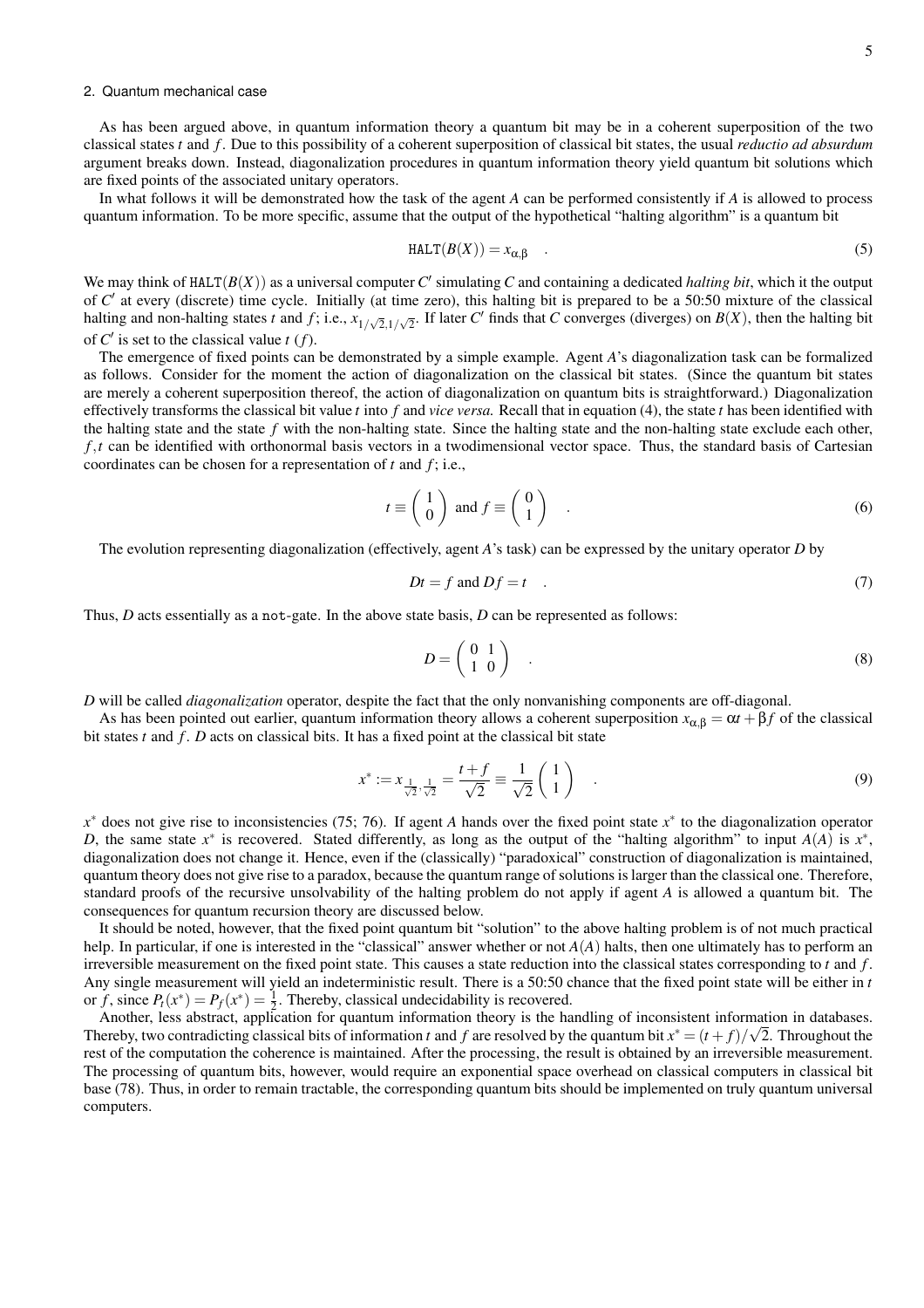#### 2. Quantum mechanical case

As has been argued above, in quantum information theory a quantum bit may be in a coherent superposition of the two classical states *t* and *f* . Due to this possibility of a coherent superposition of classical bit states, the usual *reductio ad absurdum* argument breaks down. Instead, diagonalization procedures in quantum information theory yield quantum bit solutions which are fixed points of the associated unitary operators.

In what follows it will be demonstrated how the task of the agent *A* can be performed consistently if *A* is allowed to process quantum information. To be more specific, assume that the output of the hypothetical "halting algorithm" is a quantum bit

$$
HALT(B(X)) = x_{\alpha,\beta} \quad . \tag{5}
$$

We may think of HALT( $B(X)$ ) as a universal computer  $C'$  simulating  $C$  and containing a dedicated *halting bit*, which it the output of *C'* at every (discrete) time cycle. Initially (at time zero), this halting bit is prepared to be a 50:50 mixture of the classical halting and non-halting states *t* and *f*; i.e.,  $x_{1/\sqrt{2},1/\sqrt{2}}$ . If later *C*<sup> $\prime$ </sup> finds that *C* converges (diverges) on *B*(*X*), then the halting bit of  $C'$  is set to the classical value  $t(f)$ .

The emergence of fixed points can be demonstrated by a simple example. Agent *A*'s diagonalization task can be formalized as follows. Consider for the moment the action of diagonalization on the classical bit states. (Since the quantum bit states are merely a coherent superposition thereof, the action of diagonalization on quantum bits is straightforward.) Diagonalization effectively transforms the classical bit value *t* into *f* and *vice versa.* Recall that in equation (4), the state *t* has been identified with the halting state and the state *f* with the non-halting state. Since the halting state and the non-halting state exclude each other,  $f, t$  can be identified with orthonormal basis vectors in a twodimensional vector space. Thus, the standard basis of Cartesian coordinates can be chosen for a representation of *t* and *f* ; i.e.,

$$
t \equiv \begin{pmatrix} 1 \\ 0 \end{pmatrix} \text{ and } f \equiv \begin{pmatrix} 0 \\ 1 \end{pmatrix} .
$$
 (6)

The evolution representing diagonalization (effectively, agent *A*'s task) can be expressed by the unitary operator *D* by

$$
Dt = f \text{ and } Df = t \quad . \tag{7}
$$

Thus, *D* acts essentially as a not-gate. In the above state basis, *D* can be represented as follows:

$$
D = \left(\begin{array}{cc} 0 & 1 \\ 1 & 0 \end{array}\right) \tag{8}
$$

*D* will be called *diagonalization* operator, despite the fact that the only nonvanishing components are off-diagonal.

As has been pointed out earlier, quantum information theory allows a coherent superposition  $x_{\alpha, \beta} = \alpha t + \beta f$  of the classical bit states *t* and *f* . *D* acts on classical bits. It has a fixed point at the classical bit state

$$
x^* := x_{\frac{1}{\sqrt{2}}, \frac{1}{\sqrt{2}}} = \frac{t+f}{\sqrt{2}} \equiv \frac{1}{\sqrt{2}} \begin{pmatrix} 1 \\ 1 \end{pmatrix} . \tag{9}
$$

*x*<sup>∗</sup> does not give rise to inconsistencies (75; 76). If agent *A* hands over the fixed point state *x*<sup>∗</sup> to the diagonalization operator *D*, the same state *x*<sup>\*</sup> is recovered. Stated differently, as long as the output of the "halting algorithm" to input *A*(*A*) is *x*<sup>\*</sup>, diagonalization does not change it. Hence, even if the (classically) "paradoxical" construction of diagonalization is maintained, quantum theory does not give rise to a paradox, because the quantum range of solutions is larger than the classical one. Therefore, standard proofs of the recursive unsolvability of the halting problem do not apply if agent *A* is allowed a quantum bit. The consequences for quantum recursion theory are discussed below.

It should be noted, however, that the fixed point quantum bit "solution" to the above halting problem is of not much practical help. In particular, if one is interested in the "classical" answer whether or not *A*(*A*) halts, then one ultimately has to perform an irreversible measurement on the fixed point state. This causes a state reduction into the classical states corresponding to *t* and *f* . Any single measurement will yield an indeterministic result. There is a 50:50 chance that the fixed point state will be either in *t* or *f*, since  $P_t(x^*) = P_f(x^*) = \frac{1}{2}$ . Thereby, classical undecidability is recovered.

Another, less abstract, application for quantum information theory is the handling of inconsistent information in databases. √ Thereby, two contradicting classical bits of information *t* and *f* are resolved by the quantum bit  $x^* = (t + f)/\sqrt{2}$ . Throughout the rest of the computation the coherence is maintained. After the processing, the result is obtained by an irreversible measurement. The processing of quantum bits, however, would require an exponential space overhead on classical computers in classical bit base (78). Thus, in order to remain tractable, the corresponding quantum bits should be implemented on truly quantum universal computers.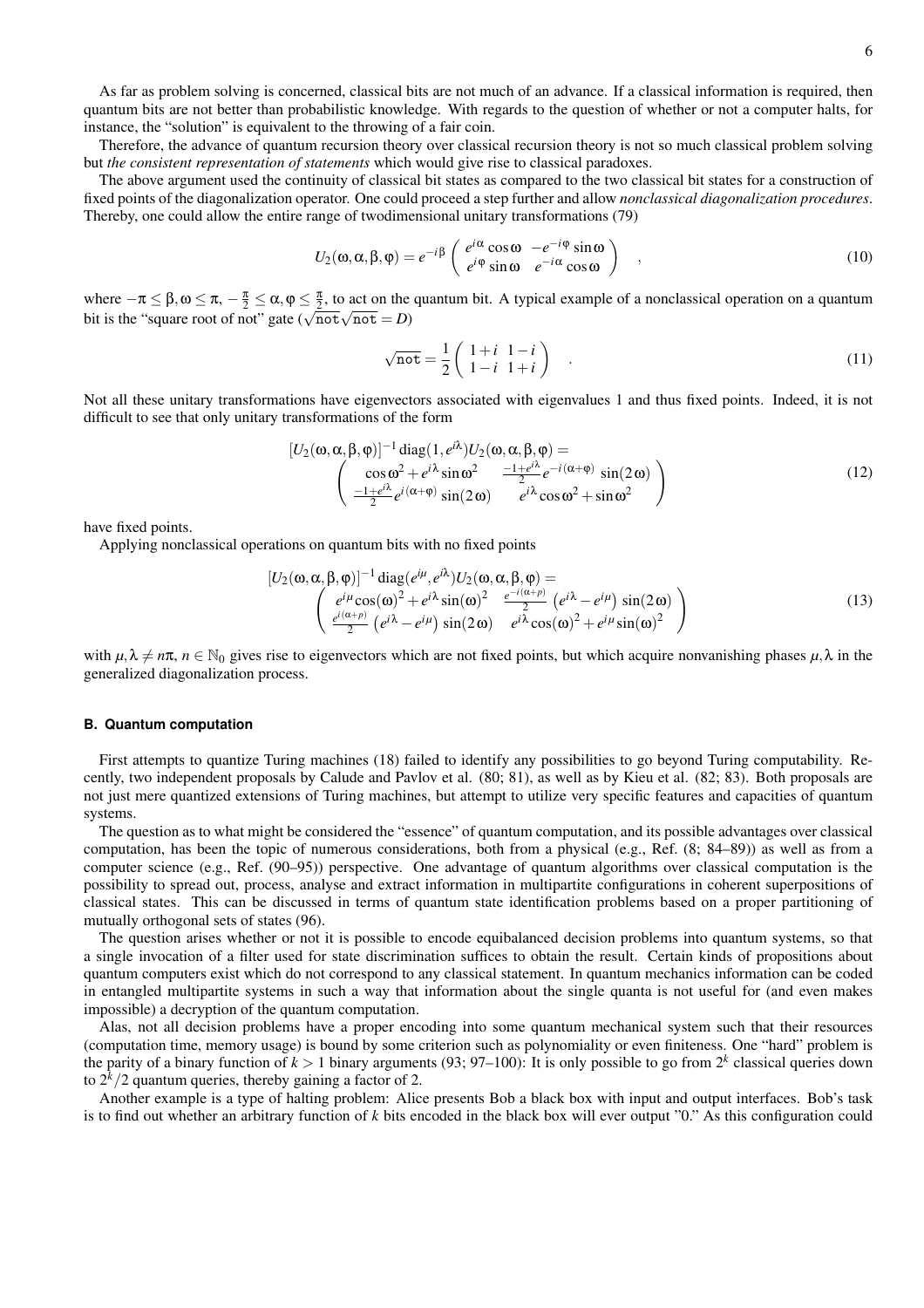quantum bits are not better than probabilistic knowledge. With regards to the question of whether or not a computer halts, for instance, the "solution" is equivalent to the throwing of a fair coin. Therefore, the advance of quantum recursion theory over classical recursion theory is not so much classical problem solving

but *the consistent representation of statements* which would give rise to classical paradoxes.

The above argument used the continuity of classical bit states as compared to the two classical bit states for a construction of fixed points of the diagonalization operator. One could proceed a step further and allow *nonclassical diagonalization procedures*. Thereby, one could allow the entire range of twodimensional unitary transformations (79)

$$
U_2(\omega,\alpha,\beta,\varphi) = e^{-i\beta} \begin{pmatrix} e^{i\alpha}\cos\omega & -e^{-i\varphi}\sin\omega \\ e^{i\varphi}\sin\omega & e^{-i\alpha}\cos\omega \end{pmatrix} , \qquad (10)
$$

where  $-\pi \leq \beta$ ,  $\omega \leq \pi$ ,  $-\frac{\pi}{2} \leq \alpha$ ,  $\varphi \leq \frac{\pi}{2}$ , to act on the quantum bit. A typical example of a nonclassical operation on a quantum where  $-n \le p, \omega \le n, -\frac{1}{2} \le \omega, \psi \le \frac{1}{2}$ , where  $\omega$  is the "square root of not" gate ( $\sqrt{\text{not}} \sqrt{\text{not}} = D$ )

$$
\sqrt{\text{not}} = \frac{1}{2} \begin{pmatrix} 1+i & 1-i \\ 1-i & 1+i \end{pmatrix} .
$$
 (11)

Not all these unitary transformations have eigenvectors associated with eigenvalues 1 and thus fixed points. Indeed, it is not difficult to see that only unitary transformations of the form

$$
[U_2(\omega,\alpha,\beta,\varphi)]^{-1} \operatorname{diag}(1,e^{i\lambda}) U_2(\omega,\alpha,\beta,\varphi) =
$$
  

$$
\begin{pmatrix} \cos \omega^2 + e^{i\lambda} \sin \omega^2 & \frac{-1+e^{i\lambda}}{2} e^{-i(\alpha+\varphi)} \sin(2\omega) \\ \frac{-1+e^{i\lambda}}{2} e^{i(\alpha+\varphi)} \sin(2\omega) & e^{i\lambda} \cos \omega^2 + \sin \omega^2 \end{pmatrix}
$$
 (12)

have fixed points.

Applying nonclassical operations on quantum bits with no fixed points

$$
[U_2(\omega,\alpha,\beta,\varphi)]^{-1} \operatorname{diag}(e^{i\mu},e^{i\lambda}) U_2(\omega,\alpha,\beta,\varphi) =
$$
  

$$
\begin{pmatrix} e^{i\mu}\cos(\omega)^2 + e^{i\lambda}\sin(\omega)^2 & \frac{e^{-i(\alpha+p)}}{2} (e^{i\lambda} - e^{i\mu})\sin(2\omega) \\ \frac{e^{i(\alpha+p)}}{2} (e^{i\lambda} - e^{i\mu})\sin(2\omega) & e^{i\lambda}\cos(\omega)^2 + e^{i\mu}\sin(\omega)^2 \end{pmatrix}
$$
(13)

with  $\mu, \lambda \neq n\pi$ ,  $n \in \mathbb{N}_0$  gives rise to eigenvectors which are not fixed points, but which acquire nonvanishing phases  $\mu, \lambda$  in the generalized diagonalization process.

#### **B. Quantum computation**

First attempts to quantize Turing machines (18) failed to identify any possibilities to go beyond Turing computability. Recently, two independent proposals by Calude and Pavlov et al. (80; 81), as well as by Kieu et al. (82; 83). Both proposals are not just mere quantized extensions of Turing machines, but attempt to utilize very specific features and capacities of quantum systems.

The question as to what might be considered the "essence" of quantum computation, and its possible advantages over classical computation, has been the topic of numerous considerations, both from a physical (e.g., Ref. (8; 84–89)) as well as from a computer science (e.g., Ref. (90–95)) perspective. One advantage of quantum algorithms over classical computation is the possibility to spread out, process, analyse and extract information in multipartite configurations in coherent superpositions of classical states. This can be discussed in terms of quantum state identification problems based on a proper partitioning of mutually orthogonal sets of states (96).

The question arises whether or not it is possible to encode equibalanced decision problems into quantum systems, so that a single invocation of a filter used for state discrimination suffices to obtain the result. Certain kinds of propositions about quantum computers exist which do not correspond to any classical statement. In quantum mechanics information can be coded in entangled multipartite systems in such a way that information about the single quanta is not useful for (and even makes impossible) a decryption of the quantum computation.

Alas, not all decision problems have a proper encoding into some quantum mechanical system such that their resources (computation time, memory usage) is bound by some criterion such as polynomiality or even finiteness. One "hard" problem is the parity of a binary function of  $k > 1$  binary arguments (93; 97–100). It is only possible to go from  $2^k$  classical queries down to  $2^k/2$  quantum queries, thereby gaining a factor of 2.

Another example is a type of halting problem: Alice presents Bob a black box with input and output interfaces. Bob's task is to find out whether an arbitrary function of *k* bits encoded in the black box will ever output "0." As this configuration could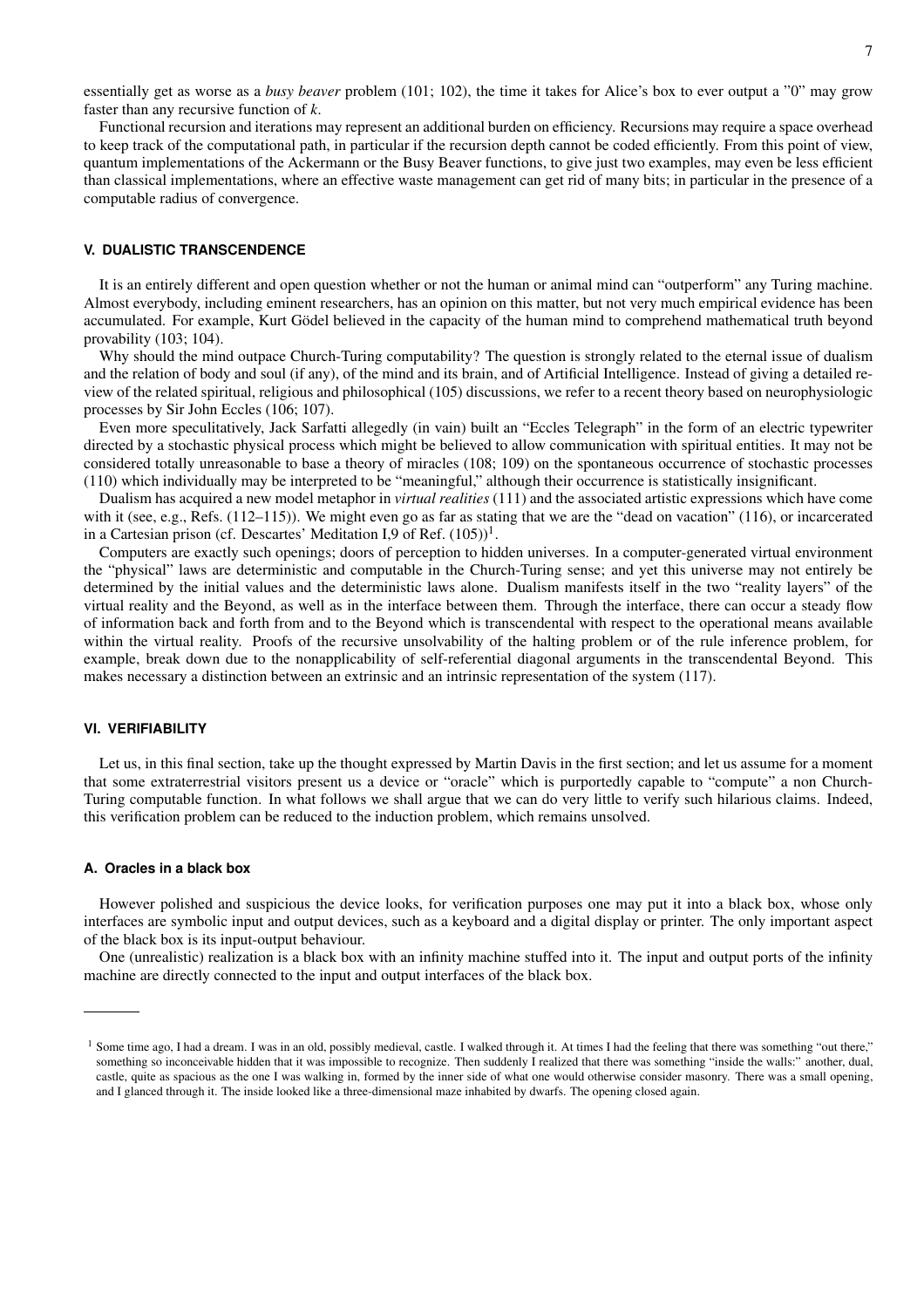essentially get as worse as a *busy beaver* problem (101; 102), the time it takes for Alice's box to ever output a "0" may grow faster than any recursive function of *k*.

Functional recursion and iterations may represent an additional burden on efficiency. Recursions may require a space overhead to keep track of the computational path, in particular if the recursion depth cannot be coded efficiently. From this point of view, quantum implementations of the Ackermann or the Busy Beaver functions, to give just two examples, may even be less efficient than classical implementations, where an effective waste management can get rid of many bits; in particular in the presence of a computable radius of convergence.

# **V. DUALISTIC TRANSCENDENCE**

It is an entirely different and open question whether or not the human or animal mind can "outperform" any Turing machine. Almost everybody, including eminent researchers, has an opinion on this matter, but not very much empirical evidence has been accumulated. For example, Kurt Gödel believed in the capacity of the human mind to comprehend mathematical truth beyond provability (103; 104).

Why should the mind outpace Church-Turing computability? The question is strongly related to the eternal issue of dualism and the relation of body and soul (if any), of the mind and its brain, and of Artificial Intelligence. Instead of giving a detailed review of the related spiritual, religious and philosophical (105) discussions, we refer to a recent theory based on neurophysiologic processes by Sir John Eccles (106; 107).

Even more speculitatively, Jack Sarfatti allegedly (in vain) built an "Eccles Telegraph" in the form of an electric typewriter directed by a stochastic physical process which might be believed to allow communication with spiritual entities. It may not be considered totally unreasonable to base a theory of miracles (108; 109) on the spontaneous occurrence of stochastic processes (110) which individually may be interpreted to be "meaningful," although their occurrence is statistically insignificant.

Dualism has acquired a new model metaphor in *virtual realities* (111) and the associated artistic expressions which have come with it (see, e.g., Refs. (112–115)). We might even go as far as stating that we are the "dead on vacation" (116), or incarcerated in a Cartesian prison (cf. Descartes' Meditation I,9 of Ref.  $(105)^{1}$ .

Computers are exactly such openings; doors of perception to hidden universes. In a computer-generated virtual environment the "physical" laws are deterministic and computable in the Church-Turing sense; and yet this universe may not entirely be determined by the initial values and the deterministic laws alone. Dualism manifests itself in the two "reality layers" of the virtual reality and the Beyond, as well as in the interface between them. Through the interface, there can occur a steady flow of information back and forth from and to the Beyond which is transcendental with respect to the operational means available within the virtual reality. Proofs of the recursive unsolvability of the halting problem or of the rule inference problem, for example, break down due to the nonapplicability of self-referential diagonal arguments in the transcendental Beyond. This makes necessary a distinction between an extrinsic and an intrinsic representation of the system (117).

#### **VI. VERIFIABILITY**

Let us, in this final section, take up the thought expressed by Martin Davis in the first section; and let us assume for a moment that some extraterrestrial visitors present us a device or "oracle" which is purportedly capable to "compute" a non Church-Turing computable function. In what follows we shall argue that we can do very little to verify such hilarious claims. Indeed, this verification problem can be reduced to the induction problem, which remains unsolved.

#### **A. Oracles in a black box**

However polished and suspicious the device looks, for verification purposes one may put it into a black box, whose only interfaces are symbolic input and output devices, such as a keyboard and a digital display or printer. The only important aspect of the black box is its input-output behaviour.

One (unrealistic) realization is a black box with an infinity machine stuffed into it. The input and output ports of the infinity machine are directly connected to the input and output interfaces of the black box.

<sup>&</sup>lt;sup>1</sup> Some time ago, I had a dream. I was in an old, possibly medieval, castle. I walked through it. At times I had the feeling that there was something "out there," something so inconceivable hidden that it was impossible to recognize. Then suddenly I realized that there was something "inside the walls:" another, dual, castle, quite as spacious as the one I was walking in, formed by the inner side of what one would otherwise consider masonry. There was a small opening, and I glanced through it. The inside looked like a three-dimensional maze inhabited by dwarfs. The opening closed again.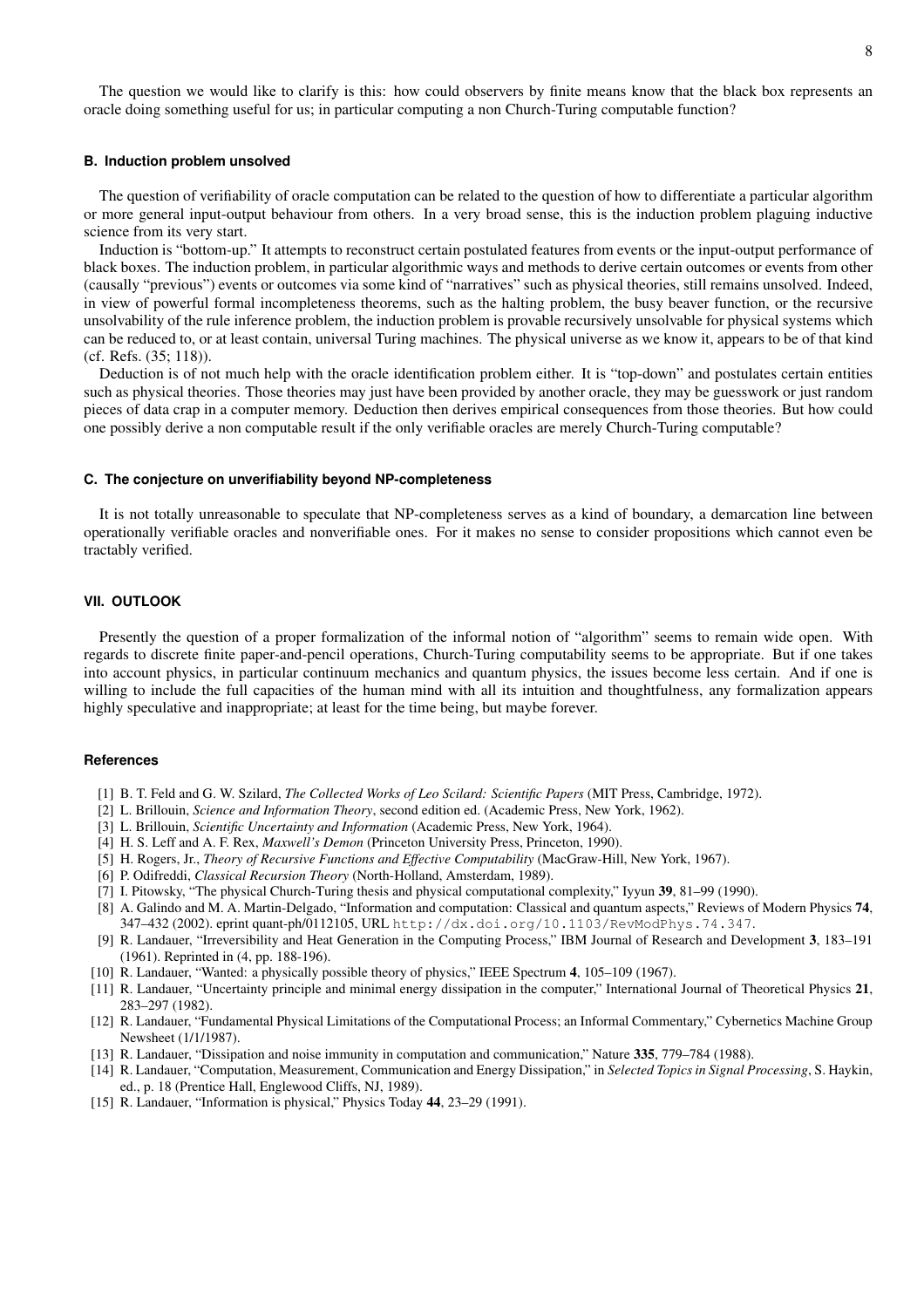The question we would like to clarify is this: how could observers by finite means know that the black box represents an oracle doing something useful for us; in particular computing a non Church-Turing computable function?

#### **B. Induction problem unsolved**

The question of verifiability of oracle computation can be related to the question of how to differentiate a particular algorithm or more general input-output behaviour from others. In a very broad sense, this is the induction problem plaguing inductive science from its very start.

Induction is "bottom-up." It attempts to reconstruct certain postulated features from events or the input-output performance of black boxes. The induction problem, in particular algorithmic ways and methods to derive certain outcomes or events from other (causally "previous") events or outcomes via some kind of "narratives" such as physical theories, still remains unsolved. Indeed, in view of powerful formal incompleteness theorems, such as the halting problem, the busy beaver function, or the recursive unsolvability of the rule inference problem, the induction problem is provable recursively unsolvable for physical systems which can be reduced to, or at least contain, universal Turing machines. The physical universe as we know it, appears to be of that kind (cf. Refs. (35; 118)).

Deduction is of not much help with the oracle identification problem either. It is "top-down" and postulates certain entities such as physical theories. Those theories may just have been provided by another oracle, they may be guesswork or just random pieces of data crap in a computer memory. Deduction then derives empirical consequences from those theories. But how could one possibly derive a non computable result if the only verifiable oracles are merely Church-Turing computable?

# **C. The conjecture on unverifiability beyond NP-completeness**

It is not totally unreasonable to speculate that NP-completeness serves as a kind of boundary, a demarcation line between operationally verifiable oracles and nonverifiable ones. For it makes no sense to consider propositions which cannot even be tractably verified.

# **VII. OUTLOOK**

Presently the question of a proper formalization of the informal notion of "algorithm" seems to remain wide open. With regards to discrete finite paper-and-pencil operations, Church-Turing computability seems to be appropriate. But if one takes into account physics, in particular continuum mechanics and quantum physics, the issues become less certain. And if one is willing to include the full capacities of the human mind with all its intuition and thoughtfulness, any formalization appears highly speculative and inappropriate; at least for the time being, but maybe forever.

# **References**

- [1] B. T. Feld and G. W. Szilard, *The Collected Works of Leo Scilard: Scientific Papers* (MIT Press, Cambridge, 1972).
- [2] L. Brillouin, *Science and Information Theory*, second edition ed. (Academic Press, New York, 1962).
- [3] L. Brillouin, *Scientific Uncertainty and Information* (Academic Press, New York, 1964).
- [4] H. S. Leff and A. F. Rex, *Maxwell's Demon* (Princeton University Press, Princeton, 1990).
- [5] H. Rogers, Jr., *Theory of Recursive Functions and Effective Computability* (MacGraw-Hill, New York, 1967).
- [6] P. Odifreddi, *Classical Recursion Theory* (North-Holland, Amsterdam, 1989).
- [7] I. Pitowsky, "The physical Church-Turing thesis and physical computational complexity," Iyyun 39, 81-99 (1990).
- [8] A. Galindo and M. A. Martin-Delgado, "Information and computation: Classical and quantum aspects," Reviews of Modern Physics 74, 347–432 (2002). eprint quant-ph/0112105, URL http://dx.doi.org/10.1103/RevModPhys.74.347.
- [9] R. Landauer, "Irreversibility and Heat Generation in the Computing Process," IBM Journal of Research and Development 3, 183–191 (1961). Reprinted in (4, pp. 188-196).
- [10] R. Landauer, "Wanted: a physically possible theory of physics," IEEE Spectrum 4, 105–109 (1967).
- [11] R. Landauer, "Uncertainty principle and minimal energy dissipation in the computer," International Journal of Theoretical Physics 21, 283–297 (1982).
- [12] R. Landauer, "Fundamental Physical Limitations of the Computational Process; an Informal Commentary," Cybernetics Machine Group Newsheet (1/1/1987).
- [13] R. Landauer, "Dissipation and noise immunity in computation and communication," Nature 335, 779–784 (1988).
- [14] R. Landauer, "Computation, Measurement, Communication and Energy Dissipation," in *Selected Topics in Signal Processing*, S. Haykin, ed., p. 18 (Prentice Hall, Englewood Cliffs, NJ, 1989).
- [15] R. Landauer, "Information is physical," Physics Today 44, 23-29 (1991).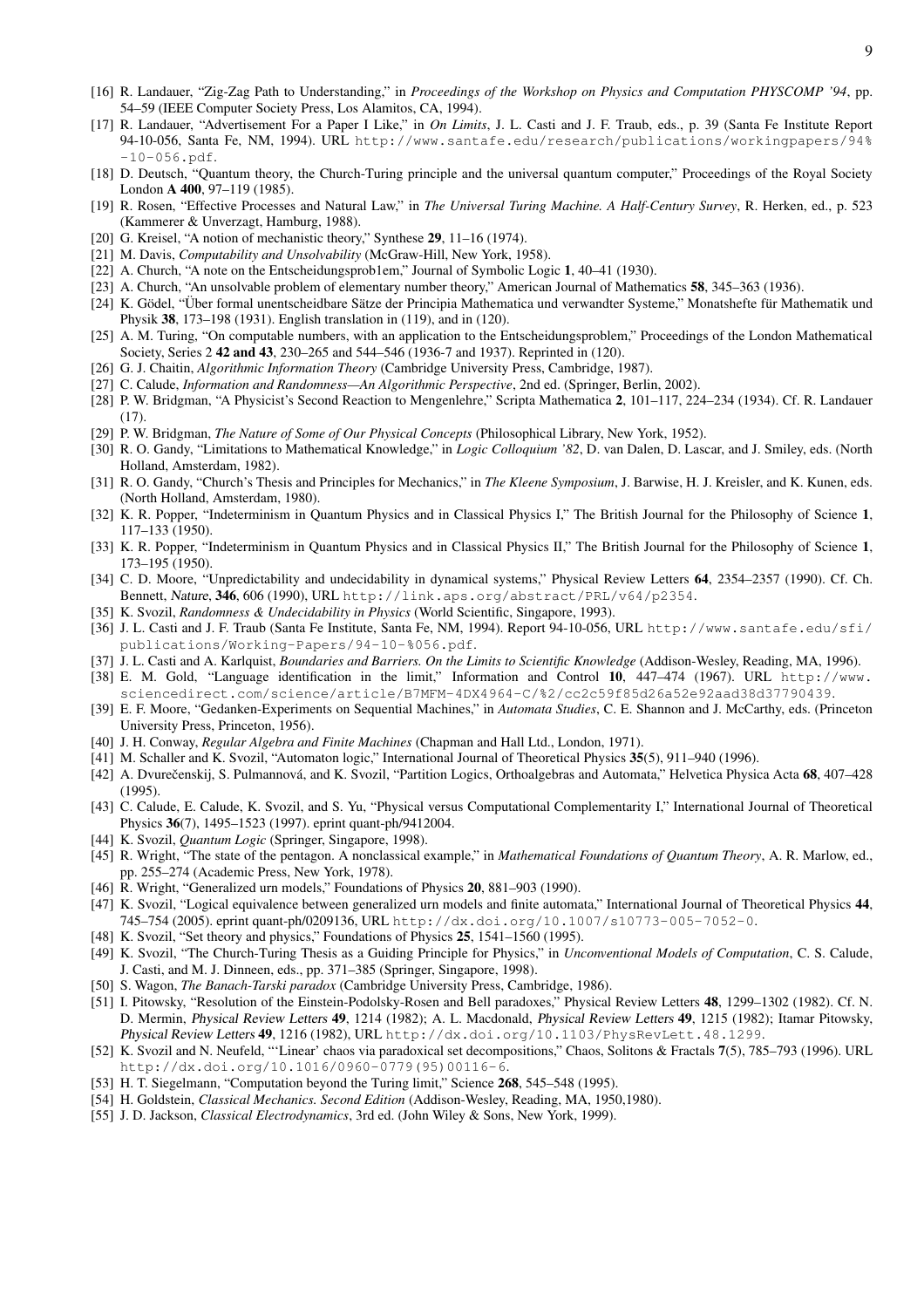- [16] R. Landauer, "Zig-Zag Path to Understanding," in *Proceedings of the Workshop on Physics and Computation PHYSCOMP '94*, pp. 54–59 (IEEE Computer Society Press, Los Alamitos, CA, 1994).
- [17] R. Landauer, "Advertisement For a Paper I Like," in *On Limits*, J. L. Casti and J. F. Traub, eds., p. 39 (Santa Fe Institute Report 94-10-056, Santa Fe, NM, 1994). URL http://www.santafe.edu/research/publications/workingpapers/94% -10-056.pdf.
- [18] D. Deutsch, "Quantum theory, the Church-Turing principle and the universal quantum computer," Proceedings of the Royal Society London A 400, 97–119 (1985).
- [19] R. Rosen, "Effective Processes and Natural Law," in *The Universal Turing Machine. A Half-Century Survey*, R. Herken, ed., p. 523 (Kammerer & Unverzagt, Hamburg, 1988).
- [20] G. Kreisel, "A notion of mechanistic theory," Synthese 29, 11-16 (1974).
- [21] M. Davis, *Computability and Unsolvability* (McGraw-Hill, New York, 1958).
- [22] A. Church, "A note on the Entscheidungsprob1em," Journal of Symbolic Logic 1, 40–41 (1930).
- [23] A. Church, "An unsolvable problem of elementary number theory," American Journal of Mathematics 58, 345–363 (1936).
- [24] K. Gödel, "Über formal unentscheidbare Sätze der Principia Mathematica und verwandter Systeme," Monatshefte für Mathematik und Physik 38, 173–198 (1931). English translation in (119), and in (120).
- [25] A. M. Turing, "On computable numbers, with an application to the Entscheidungsproblem," Proceedings of the London Mathematical Society, Series 2 42 and 43, 230–265 and 544–546 (1936-7 and 1937). Reprinted in (120).
- [26] G. J. Chaitin, *Algorithmic Information Theory* (Cambridge University Press, Cambridge, 1987).
- [27] C. Calude, *Information and Randomness—An Algorithmic Perspective*, 2nd ed. (Springer, Berlin, 2002).
- [28] P. W. Bridgman, "A Physicist's Second Reaction to Mengenlehre," Scripta Mathematica 2, 101–117, 224–234 (1934). Cf. R. Landauer (17).
- [29] P. W. Bridgman, *The Nature of Some of Our Physical Concepts* (Philosophical Library, New York, 1952).
- [30] R. O. Gandy, "Limitations to Mathematical Knowledge," in *Logic Colloquium '82*, D. van Dalen, D. Lascar, and J. Smiley, eds. (North Holland, Amsterdam, 1982).
- [31] R. O. Gandy, "Church's Thesis and Principles for Mechanics," in *The Kleene Symposium*, J. Barwise, H. J. Kreisler, and K. Kunen, eds. (North Holland, Amsterdam, 1980).
- [32] K. R. Popper, "Indeterminism in Quantum Physics and in Classical Physics I," The British Journal for the Philosophy of Science 1, 117–133 (1950).
- [33] K. R. Popper, "Indeterminism in Quantum Physics and in Classical Physics II," The British Journal for the Philosophy of Science 1, 173–195 (1950).
- [34] C. D. Moore, "Unpredictability and undecidability in dynamical systems," Physical Review Letters 64, 2354–2357 (1990). Cf. Ch. Bennett, Nature, 346, 606 (1990), URL http://link.aps.org/abstract/PRL/v64/p2354.
- [35] K. Svozil, *Randomness & Undecidability in Physics* (World Scientific, Singapore, 1993).
- [36] J. L. Casti and J. F. Traub (Santa Fe Institute, Santa Fe, NM, 1994). Report 94-10-056, URL http://www.santafe.edu/sfi/ publications/Working-Papers/94-10-%056.pdf.
- [37] J. L. Casti and A. Karlquist, *Boundaries and Barriers. On the Limits to Scientific Knowledge* (Addison-Wesley, Reading, MA, 1996).
- [38] E. M. Gold, "Language identification in the limit," Information and Control 10, 447–474 (1967). URL http://www. sciencedirect.com/science/article/B7MFM-4DX4964-C/%2/cc2c59f85d26a52e92aad38d37790439.
- [39] E. F. Moore, "Gedanken-Experiments on Sequential Machines," in *Automata Studies*, C. E. Shannon and J. McCarthy, eds. (Princeton University Press, Princeton, 1956).
- [40] J. H. Conway, *Regular Algebra and Finite Machines* (Chapman and Hall Ltd., London, 1971).
- [41] M. Schaller and K. Svozil, "Automaton logic," International Journal of Theoretical Physics 35(5), 911–940 (1996).
- [42] A. Dvurečenskij, S. Pulmannová, and K. Svozil, "Partition Logics, Orthoalgebras and Automata," Helvetica Physica Acta 68, 407–428 (1995).
- [43] C. Calude, E. Calude, K. Svozil, and S. Yu, "Physical versus Computational Complementarity I," International Journal of Theoretical Physics 36(7), 1495–1523 (1997). eprint quant-ph/9412004.
- [44] K. Svozil, *Quantum Logic* (Springer, Singapore, 1998).
- [45] R. Wright, "The state of the pentagon. A nonclassical example," in *Mathematical Foundations of Quantum Theory*, A. R. Marlow, ed., pp. 255–274 (Academic Press, New York, 1978).
- [46] R. Wright, "Generalized urn models," Foundations of Physics 20, 881-903 (1990).
- [47] K. Svozil, "Logical equivalence between generalized urn models and finite automata," International Journal of Theoretical Physics 44, 745–754 (2005). eprint quant-ph/0209136, URL http://dx.doi.org/10.1007/s10773-005-7052-0.
- [48] K. Svozil, "Set theory and physics," Foundations of Physics 25, 1541–1560 (1995).
- [49] K. Svozil, "The Church-Turing Thesis as a Guiding Principle for Physics," in *Unconventional Models of Computation*, C. S. Calude, J. Casti, and M. J. Dinneen, eds., pp. 371–385 (Springer, Singapore, 1998).
- [50] S. Wagon, *The Banach-Tarski paradox* (Cambridge University Press, Cambridge, 1986).
- [51] I. Pitowsky, "Resolution of the Einstein-Podolsky-Rosen and Bell paradoxes," Physical Review Letters 48, 1299–1302 (1982). Cf. N. D. Mermin, Physical Review Letters 49, 1214 (1982); A. L. Macdonald, Physical Review Letters 49, 1215 (1982); Itamar Pitowsky, Physical Review Letters 49, 1216 (1982), URL http://dx.doi.org/10.1103/PhysRevLett.48.1299.
- [52] K. Svozil and N. Neufeld, "'Linear' chaos via paradoxical set decompositions," Chaos, Solitons & Fractals 7(5), 785–793 (1996). URL http://dx.doi.org/10.1016/0960-0779(95)00116-6.
- [53] H. T. Siegelmann, "Computation beyond the Turing limit," Science 268, 545-548 (1995).
- [54] H. Goldstein, *Classical Mechanics. Second Edition* (Addison-Wesley, Reading, MA, 1950,1980).
- [55] J. D. Jackson, *Classical Electrodynamics*, 3rd ed. (John Wiley & Sons, New York, 1999).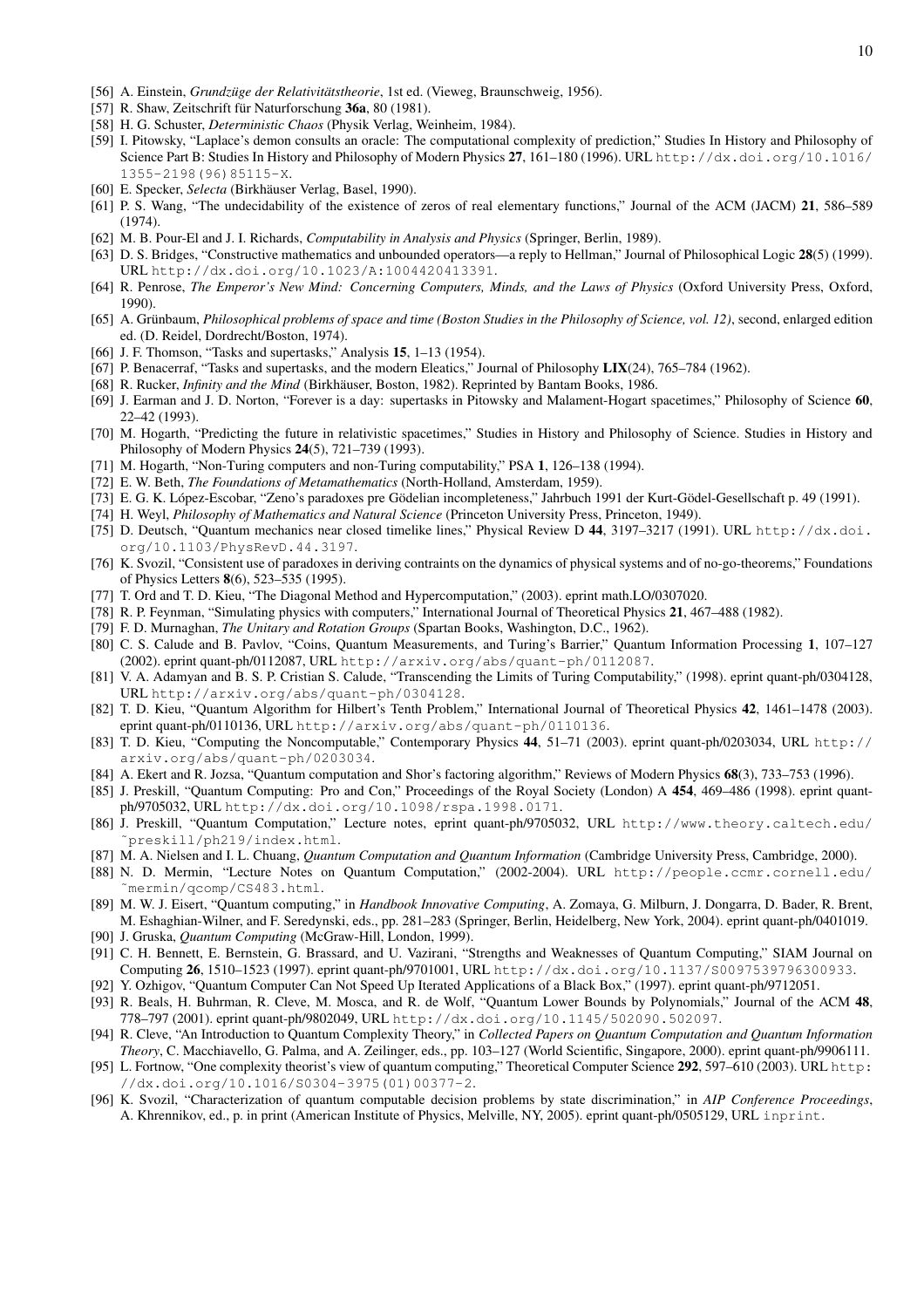- [56] A. Einstein, *Grundzuge der Relativit ¨ atstheorie ¨* , 1st ed. (Vieweg, Braunschweig, 1956).
- [57] R. Shaw, Zeitschrift für Naturforschung 36a, 80 (1981).
- [58] H. G. Schuster, *Deterministic Chaos* (Physik Verlag, Weinheim, 1984).
- [59] I. Pitowsky, "Laplace's demon consults an oracle: The computational complexity of prediction," Studies In History and Philosophy of Science Part B: Studies In History and Philosophy of Modern Physics 27, 161–180 (1996). URL http://dx.doi.org/10.1016/ 1355-2198(96)85115-X.
- [60] E. Specker, *Selecta* (Birkhäuser Verlag, Basel, 1990).
- [61] P. S. Wang, "The undecidability of the existence of zeros of real elementary functions," Journal of the ACM (JACM) 21, 586–589 (1974).
- [62] M. B. Pour-El and J. I. Richards, *Computability in Analysis and Physics* (Springer, Berlin, 1989).
- [63] D. S. Bridges, "Constructive mathematics and unbounded operators—a reply to Hellman," Journal of Philosophical Logic 28(5) (1999). URL http://dx.doi.org/10.1023/A:1004420413391.
- [64] R. Penrose, *The Emperor's New Mind: Concerning Computers, Minds, and the Laws of Physics* (Oxford University Press, Oxford, 1990).
- [65] A. Grünbaum, *Philosophical problems of space and time (Boston Studies in the Philosophy of Science, vol. 12)*, second, enlarged edition ed. (D. Reidel, Dordrecht/Boston, 1974).
- [66] J. F. Thomson, "Tasks and supertasks," Analysis **15**, 1–13 (1954).
- [67] P. Benacerraf, "Tasks and supertasks, and the modern Eleatics," Journal of Philosophy LIX(24), 765–784 (1962).
- [68] R. Rucker, *Infinity and the Mind* (Birkhäuser, Boston, 1982). Reprinted by Bantam Books, 1986.
- [69] J. Earman and J. D. Norton, "Forever is a day: supertasks in Pitowsky and Malament-Hogart spacetimes," Philosophy of Science 60, 22–42 (1993).
- [70] M. Hogarth, "Predicting the future in relativistic spacetimes," Studies in History and Philosophy of Science. Studies in History and Philosophy of Modern Physics 24(5), 721–739 (1993).
- [71] M. Hogarth, "Non-Turing computers and non-Turing computability," PSA 1, 126–138 (1994).
- [72] E. W. Beth, *The Foundations of Metamathematics* (North-Holland, Amsterdam, 1959).
- [73] E. G. K. López-Escobar, "Zeno's paradoxes pre Gödelian incompleteness," Jahrbuch 1991 der Kurt-Gödel-Gesellschaft p. 49 (1991).
- [74] H. Weyl, *Philosophy of Mathematics and Natural Science* (Princeton University Press, Princeton, 1949).
- [75] D. Deutsch, "Quantum mechanics near closed timelike lines," Physical Review D 44, 3197–3217 (1991). URL http://dx.doi. org/10.1103/PhysRevD.44.3197.
- [76] K. Svozil, "Consistent use of paradoxes in deriving contraints on the dynamics of physical systems and of no-go-theorems," Foundations of Physics Letters 8(6), 523–535 (1995).
- [77] T. Ord and T. D. Kieu, "The Diagonal Method and Hypercomputation," (2003). eprint math.LO/0307020.
- [78] R. P. Feynman, "Simulating physics with computers," International Journal of Theoretical Physics 21, 467–488 (1982).
- [79] F. D. Murnaghan, *The Unitary and Rotation Groups* (Spartan Books, Washington, D.C., 1962).
- [80] C. S. Calude and B. Pavlov, "Coins, Quantum Measurements, and Turing's Barrier," Quantum Information Processing 1, 107–127 (2002). eprint quant-ph/0112087, URL http://arxiv.org/abs/quant-ph/0112087.
- [81] V. A. Adamyan and B. S. P. Cristian S. Calude, "Transcending the Limits of Turing Computability," (1998). eprint quant-ph/0304128, URL http://arxiv.org/abs/quant-ph/0304128.
- [82] T. D. Kieu, "Quantum Algorithm for Hilbert's Tenth Problem," International Journal of Theoretical Physics 42, 1461–1478 (2003). eprint quant-ph/0110136, URL http://arxiv.org/abs/quant-ph/0110136.
- [83] T. D. Kieu, "Computing the Noncomputable," Contemporary Physics 44, 51–71 (2003). eprint quant-ph/0203034, URL http:// arxiv.org/abs/quant-ph/0203034.
- [84] A. Ekert and R. Jozsa, "Quantum computation and Shor's factoring algorithm," Reviews of Modern Physics 68(3), 733–753 (1996).
- [85] J. Preskill, "Quantum Computing: Pro and Con," Proceedings of the Royal Society (London) A 454, 469–486 (1998). eprint quantph/9705032, URL http://dx.doi.org/10.1098/rspa.1998.0171.
- [86] J. Preskill, "Quantum Computation," Lecture notes, eprint quant-ph/9705032, URL http://www.theory.caltech.edu/ ˜preskill/ph219/index.html.
- [87] M. A. Nielsen and I. L. Chuang, *Quantum Computation and Quantum Information* (Cambridge University Press, Cambridge, 2000).
- [88] N. D. Mermin, "Lecture Notes on Quantum Computation," (2002-2004). URL http://people.ccmr.cornell.edu/ ˜mermin/qcomp/CS483.html.
- [89] M. W. J. Eisert, "Quantum computing," in *Handbook Innovative Computing*, A. Zomaya, G. Milburn, J. Dongarra, D. Bader, R. Brent, M. Eshaghian-Wilner, and F. Seredynski, eds., pp. 281–283 (Springer, Berlin, Heidelberg, New York, 2004). eprint quant-ph/0401019.
- [90] J. Gruska, *Quantum Computing* (McGraw-Hill, London, 1999).
- [91] C. H. Bennett, E. Bernstein, G. Brassard, and U. Vazirani, "Strengths and Weaknesses of Quantum Computing," SIAM Journal on Computing 26, 1510–1523 (1997). eprint quant-ph/9701001, URL http://dx.doi.org/10.1137/S0097539796300933.
- [92] Y. Ozhigov, "Quantum Computer Can Not Speed Up Iterated Applications of a Black Box," (1997). eprint quant-ph/9712051.
- [93] R. Beals, H. Buhrman, R. Cleve, M. Mosca, and R. de Wolf, "Quantum Lower Bounds by Polynomials," Journal of the ACM 48, 778–797 (2001). eprint quant-ph/9802049, URL http://dx.doi.org/10.1145/502090.502097.
- [94] R. Cleve, "An Introduction to Quantum Complexity Theory," in *Collected Papers on Quantum Computation and Quantum Information Theory*, C. Macchiavello, G. Palma, and A. Zeilinger, eds., pp. 103–127 (World Scientific, Singapore, 2000). eprint quant-ph/9906111.
- [95] L. Fortnow, "One complexity theorist's view of quantum computing," Theoretical Computer Science 292, 597–610 (2003). URL http: //dx.doi.org/10.1016/S0304-3975(01)00377-2.
- [96] K. Svozil, "Characterization of quantum computable decision problems by state discrimination," in *AIP Conference Proceedings*, A. Khrennikov, ed., p. in print (American Institute of Physics, Melville, NY, 2005). eprint quant-ph/0505129, URL inprint.